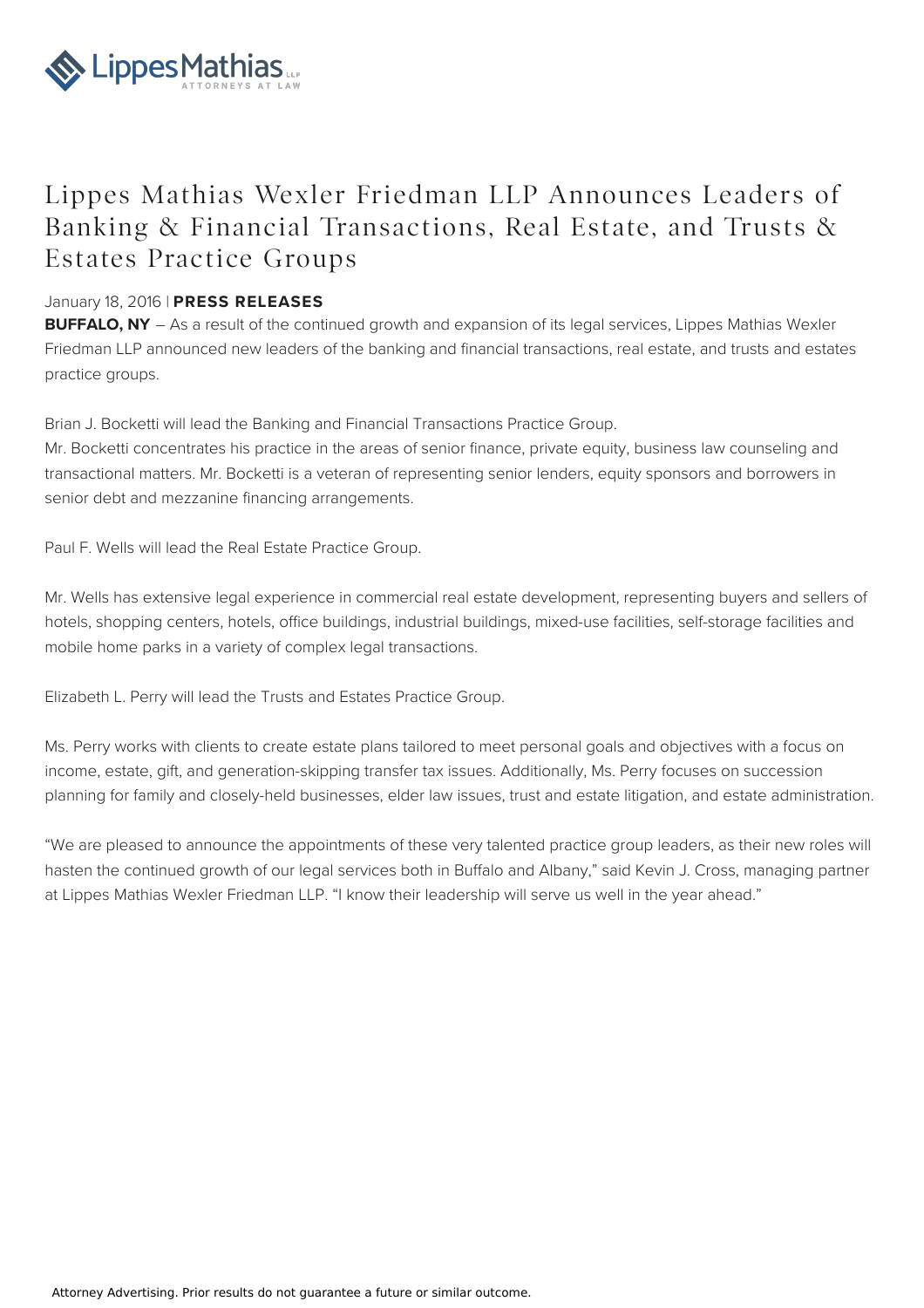

## Lippes Mathias Wexler Friedman LLP Announces Leaders of Banking & Financial Transactions, Real Estate, and Trusts & Estates Practice Groups

## January 18, 2016 | **PRESS RELEASES**

**BUFFALO, NY** – As a result of the continued growth and expansion of its legal services, Lippes Mathias Wexler Friedman LLP announced new leaders of the banking and financial transactions, real estate, and trusts and estates practice groups.

Brian J. Bocketti will lead the Banking and Financial Transactions Practice Group.

Mr. Bocketti concentrates his practice in the areas of senior finance, private equity, business law counseling and transactional matters. Mr. Bocketti is a veteran of representing senior lenders, equity sponsors and borrowers in senior debt and mezzanine financing arrangements.

Paul F. Wells will lead the Real Estate Practice Group.

Mr. Wells has extensive legal experience in commercial real estate development, representing buyers and sellers of hotels, shopping centers, hotels, office buildings, industrial buildings, mixed-use facilities, self-storage facilities and mobile home parks in a variety of complex legal transactions.

Elizabeth L. Perry will lead the Trusts and Estates Practice Group.

Ms. Perry works with clients to create estate plans tailored to meet personal goals and objectives with a focus on income, estate, gift, and generation-skipping transfer tax issues. Additionally, Ms. Perry focuses on succession planning for family and closely-held businesses, elder law issues, trust and estate litigation, and estate administration.

"We are pleased to announce the appointments of these very talented practice group leaders, as their new roles will hasten the continued growth of our legal services both in Buffalo and Albany," said Kevin J. Cross, managing partner at Lippes Mathias Wexler Friedman LLP. "I know their leadership will serve us well in the year ahead."